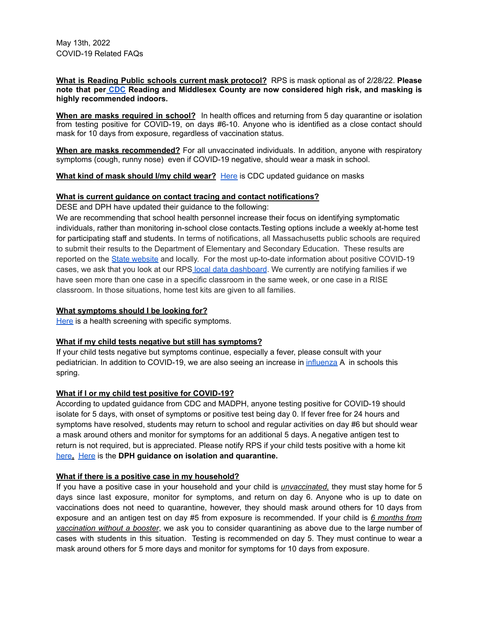May 13th, 2022 COVID-19 Related FAQs

**What is Reading Public schools current mask protocol?** RPS is mask optional as of 2/28/22. **Please note that per [CDC](https://covid.cdc.gov/covid-data-tracker/#county-view?list_select_state=Massachusetts&data-type=CommunityLevels&list_select_county=25017) Reading and Middlesex County are now considered high risk, and masking is highly recommended indoors.**

**When are masks required in school?** In health offices and returning from 5 day quarantine or isolation from testing positive for COVID-19, on days #6-10. Anyone who is identified as a close contact should mask for 10 days from exposure, regardless of vaccination status.

**When are masks recommended?** For all unvaccinated individuals. In addition, anyone with respiratory symptoms (cough, runny nose) even if COVID-19 negative, should wear a mask in school.

**What kind of mask should I/my child wear?** [Here](https://www.cdc.gov/coronavirus/2019-ncov/prevent-getting-sick/types-of-masks.html#children) is CDC updated guidance on masks

#### **What is current guidance on contact tracing and contact notifications?**

DESE and DPH have updated their guidance to the following:

We are recommending that school health personnel increase their focus on identifying symptomatic individuals, rather than monitoring in-school close contacts.Testing options include a weekly at-home test for participating staff and students. In terms of notifications, all Massachusetts public schools are required to submit their results to the Department of Elementary and Secondary Education. These results are reported on the State [website](https://www.doe.mass.edu/covid19/positive-cases/) and locally. For the most up-to-date information about positive COVID-19 cases, we ask that you look at our RPS local data [dashboard](https://docs.google.com/presentation/d/1JgTU50F-iFBoF5fvsVAh67jBi9g1L__ztNt4_WFl0q4/edit#slide=id.geb96257259_1_0). We currently are notifying families if we have seen more than one case in a specific classroom in the same week, or one case in a RISE classroom. In those situations, home test kits are given to all families.

#### **What symptoms should I be looking for?**

[Here](https://docs.google.com/document/d/1QVnPqBwo0v4cbKUzRW6o1jRx3h7Sz6aO4Qsxgv3OJ84/edit?usp=sharing) is a health screening with specific symptoms.

## **What if my child tests negative but still has symptoms?**

If your child tests negative but symptoms continue, especially a fever, please consult with your pediatrician. In addition to COVID-19, we are also seeing an increase in [influenza](https://www.cdc.gov/flu/symptoms/symptoms.htm) A in schools this spring.

#### **What if I or my child test positive for COVID-19?**

According to updated guidance from CDC and MADPH, anyone testing positive for COVID-19 should isolate for 5 days, with onset of symptoms or positive test being day 0. If fever free for 24 hours and symptoms have resolved, students may return to school and regular activities on day #6 but should wear a mask around others and monitor for symptoms for an additional 5 days. A negative antigen test to return is not required, but is appreciated. Please notify RPS if your child tests positive with a home kit [here](https://docs.google.com/forms/d/e/1FAIpQLSeqLFUQy40DX43fheLOxam4j_tkepECBT3zIxuFHPY5vv_M9g/viewform?usp=sf_link)**.** [Here](https://www.mass.gov/info-details/covid-19-isolation-and-quarantine-guidance-for-the-general-public) is the **DPH guidance on isolation and quarantine.**

#### **What if there is a positive case in my household?**

If you have a positive case in your household and your child is *unvaccinated,* they must stay home for 5 days since last exposure, monitor for symptoms, and return on day 6. Anyone who is up to date on vaccinations does not need to quarantine, however, they should mask around others for 10 days from exposure and an antigen test on day #5 from exposure is recommended. If your child is *6 months from vaccination without a booster*, we ask you to consider quarantining as above due to the large number of cases with students in this situation. Testing is recommended on day 5. They must continue to wear a mask around others for 5 more days and monitor for symptoms for 10 days from exposure.